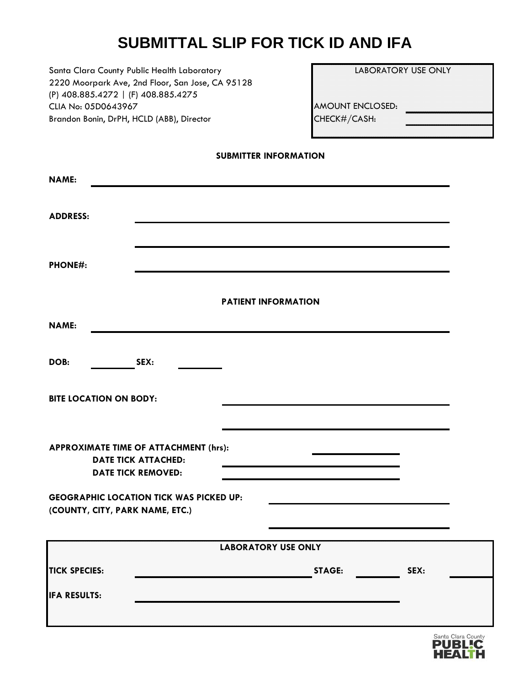# **SUBMITTAL SLIP FOR TICK ID AND IFA**

Santa Clara County Public Health Laboratory 2220 Moorpark Ave, 2nd Floor, San Jose, CA 95128 (P) 408.885.4272 | (F) 408.885.4275 CLIA No: 05D0643967 Brandon Bonin, DrPH, HCLD (ABB), Director

| <b>LABORATORY USE ONLY</b> |  |
|----------------------------|--|
|                            |  |
|                            |  |
| AMOUNT ENCLOSED:           |  |
| CHECK#/CASH:               |  |
|                            |  |

|  | SUBMITTER INFORMATION |
|--|-----------------------|
|--|-----------------------|

| <b>NAME:</b>                    |                                                                                                  |                            |                       |  |
|---------------------------------|--------------------------------------------------------------------------------------------------|----------------------------|-----------------------|--|
| <b>ADDRESS:</b>                 |                                                                                                  |                            |                       |  |
| <b>PHONE#:</b>                  |                                                                                                  |                            |                       |  |
|                                 |                                                                                                  | <b>PATIENT INFORMATION</b> |                       |  |
| <b>NAME:</b>                    |                                                                                                  |                            |                       |  |
| DOB:                            | SEX:                                                                                             |                            |                       |  |
| <b>BITE LOCATION ON BODY:</b>   |                                                                                                  |                            |                       |  |
|                                 | APPROXIMATE TIME OF ATTACHMENT (hrs):<br><b>DATE TICK ATTACHED:</b><br><b>DATE TICK REMOVED:</b> |                            |                       |  |
| (COUNTY, CITY, PARK NAME, ETC.) | <b>GEOGRAPHIC LOCATION TICK WAS PICKED UP:</b>                                                   |                            |                       |  |
|                                 |                                                                                                  | <b>LABORATORY USE ONLY</b> |                       |  |
| <b>TICK SPECIES:</b>            |                                                                                                  |                            | <b>STAGE:</b><br>SEX: |  |
| <b>IFA RESULTS:</b>             |                                                                                                  |                            |                       |  |
|                                 |                                                                                                  |                            |                       |  |